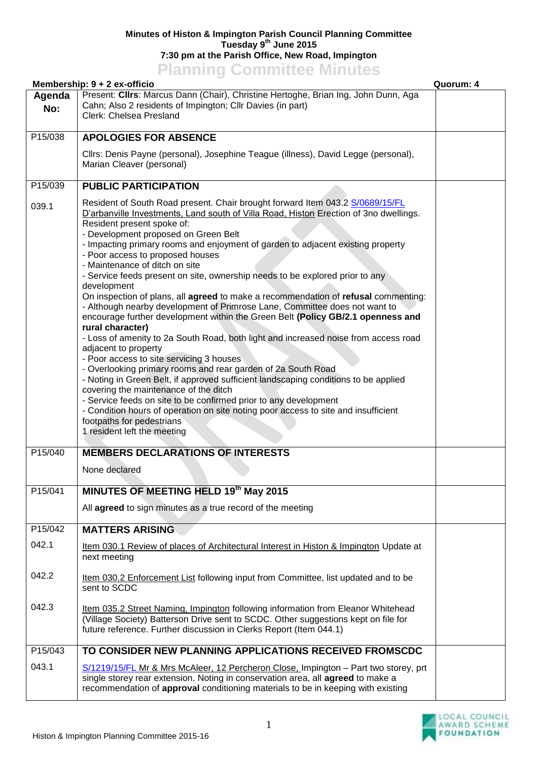## **Minutes of Histon & Impington Parish Council Planning Committee Tuesday 9 th June 2015 7:30 pm at the Parish Office, New Road, Impington Planning Committee Minutes**

|               | Membership: 9 + 2 ex-officio                                                                                                                                                                                                                                                                                                                                                                                                                                                                                                                                                                                                                                                                                                                                                                                                                                                                                                                                                                                                                                                                                                                                                                                                                                                                                                                                     | Quorum: 4 |
|---------------|------------------------------------------------------------------------------------------------------------------------------------------------------------------------------------------------------------------------------------------------------------------------------------------------------------------------------------------------------------------------------------------------------------------------------------------------------------------------------------------------------------------------------------------------------------------------------------------------------------------------------------------------------------------------------------------------------------------------------------------------------------------------------------------------------------------------------------------------------------------------------------------------------------------------------------------------------------------------------------------------------------------------------------------------------------------------------------------------------------------------------------------------------------------------------------------------------------------------------------------------------------------------------------------------------------------------------------------------------------------|-----------|
| Agenda<br>No: | Present: Clirs: Marcus Dann (Chair), Christine Hertoghe, Brian Ing, John Dunn, Aga<br>Cahn; Also 2 residents of Impington; Cllr Davies (in part)<br>Clerk: Chelsea Presland                                                                                                                                                                                                                                                                                                                                                                                                                                                                                                                                                                                                                                                                                                                                                                                                                                                                                                                                                                                                                                                                                                                                                                                      |           |
| P15/038       | <b>APOLOGIES FOR ABSENCE</b>                                                                                                                                                                                                                                                                                                                                                                                                                                                                                                                                                                                                                                                                                                                                                                                                                                                                                                                                                                                                                                                                                                                                                                                                                                                                                                                                     |           |
|               | Cllrs: Denis Payne (personal), Josephine Teague (illness), David Legge (personal),<br>Marian Cleaver (personal)                                                                                                                                                                                                                                                                                                                                                                                                                                                                                                                                                                                                                                                                                                                                                                                                                                                                                                                                                                                                                                                                                                                                                                                                                                                  |           |
| P15/039       | <b>PUBLIC PARTICIPATION</b>                                                                                                                                                                                                                                                                                                                                                                                                                                                                                                                                                                                                                                                                                                                                                                                                                                                                                                                                                                                                                                                                                                                                                                                                                                                                                                                                      |           |
| 039.1         | Resident of South Road present. Chair brought forward Item 043.2 S/0689/15/FL<br>D'arbanville Investments, Land south of Villa Road, Histon Erection of 3no dwellings.<br>Resident present spoke of:<br>- Development proposed on Green Belt<br>- Impacting primary rooms and enjoyment of garden to adjacent existing property<br>- Poor access to proposed houses<br>- Maintenance of ditch on site<br>- Service feeds present on site, ownership needs to be explored prior to any<br>development<br>On inspection of plans, all agreed to make a recommendation of refusal commenting:<br>- Although nearby development of Primrose Lane, Committee does not want to<br>encourage further development within the Green Belt (Policy GB/2.1 openness and<br>rural character)<br>- Loss of amenity to 2a South Road, both light and increased noise from access road<br>adjacent to property<br>- Poor access to site servicing 3 houses<br>- Overlooking primary rooms and rear garden of 2a South Road<br>- Noting in Green Belt, if approved sufficient landscaping conditions to be applied<br>covering the maintenance of the ditch<br>- Service feeds on site to be confirmed prior to any development<br>- Condition hours of operation on site noting poor access to site and insufficient<br>footpaths for pedestrians<br>1 resident left the meeting |           |
| P15/040       | <b>MEMBERS DECLARATIONS OF INTERESTS</b>                                                                                                                                                                                                                                                                                                                                                                                                                                                                                                                                                                                                                                                                                                                                                                                                                                                                                                                                                                                                                                                                                                                                                                                                                                                                                                                         |           |
|               | None declared                                                                                                                                                                                                                                                                                                                                                                                                                                                                                                                                                                                                                                                                                                                                                                                                                                                                                                                                                                                                                                                                                                                                                                                                                                                                                                                                                    |           |
| P15/041       | <b>MINUTES OF MEETING HELD 19th May 2015</b>                                                                                                                                                                                                                                                                                                                                                                                                                                                                                                                                                                                                                                                                                                                                                                                                                                                                                                                                                                                                                                                                                                                                                                                                                                                                                                                     |           |
|               | All agreed to sign minutes as a true record of the meeting                                                                                                                                                                                                                                                                                                                                                                                                                                                                                                                                                                                                                                                                                                                                                                                                                                                                                                                                                                                                                                                                                                                                                                                                                                                                                                       |           |
| P15/042       | <b>MATTERS ARISING</b>                                                                                                                                                                                                                                                                                                                                                                                                                                                                                                                                                                                                                                                                                                                                                                                                                                                                                                                                                                                                                                                                                                                                                                                                                                                                                                                                           |           |
| 042.1         | Item 030.1 Review of places of Architectural Interest in Histon & Impington Update at<br>next meeting                                                                                                                                                                                                                                                                                                                                                                                                                                                                                                                                                                                                                                                                                                                                                                                                                                                                                                                                                                                                                                                                                                                                                                                                                                                            |           |
| 042.2         | Item 030.2 Enforcement List following input from Committee, list updated and to be<br>sent to SCDC                                                                                                                                                                                                                                                                                                                                                                                                                                                                                                                                                                                                                                                                                                                                                                                                                                                                                                                                                                                                                                                                                                                                                                                                                                                               |           |
| 042.3         | Item 035.2 Street Naming, Impington following information from Eleanor Whitehead<br>(Village Society) Batterson Drive sent to SCDC. Other suggestions kept on file for<br>future reference. Further discussion in Clerks Report (Item 044.1)                                                                                                                                                                                                                                                                                                                                                                                                                                                                                                                                                                                                                                                                                                                                                                                                                                                                                                                                                                                                                                                                                                                     |           |
| P15/043       | TO CONSIDER NEW PLANNING APPLICATIONS RECEIVED FROMSCDC                                                                                                                                                                                                                                                                                                                                                                                                                                                                                                                                                                                                                                                                                                                                                                                                                                                                                                                                                                                                                                                                                                                                                                                                                                                                                                          |           |
| 043.1         | S/1219/15/FL Mr & Mrs McAleer, 12 Percheron Close, Impington - Part two storey, prt<br>single storey rear extension. Noting in conservation area, all agreed to make a<br>recommendation of approval conditioning materials to be in keeping with existing                                                                                                                                                                                                                                                                                                                                                                                                                                                                                                                                                                                                                                                                                                                                                                                                                                                                                                                                                                                                                                                                                                       |           |

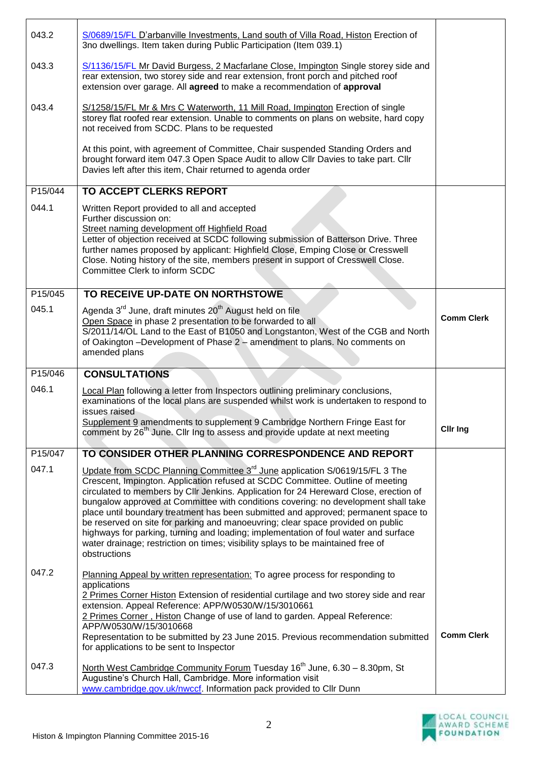| 043.2   | S/0689/15/FL D'arbanville Investments, Land south of Villa Road, Histon Erection of<br>3no dwellings. Item taken during Public Participation (Item 039.1)                                                                                                                                                                                                                                                                                                                               |                   |
|---------|-----------------------------------------------------------------------------------------------------------------------------------------------------------------------------------------------------------------------------------------------------------------------------------------------------------------------------------------------------------------------------------------------------------------------------------------------------------------------------------------|-------------------|
| 043.3   | S/1136/15/FL Mr David Burgess, 2 Macfarlane Close, Impington Single storey side and<br>rear extension, two storey side and rear extension, front porch and pitched roof<br>extension over garage. All agreed to make a recommendation of approval                                                                                                                                                                                                                                       |                   |
| 043.4   | S/1258/15/FL Mr & Mrs C Waterworth, 11 Mill Road, Impington Erection of single<br>storey flat roofed rear extension. Unable to comments on plans on website, hard copy<br>not received from SCDC. Plans to be requested                                                                                                                                                                                                                                                                 |                   |
|         | At this point, with agreement of Committee, Chair suspended Standing Orders and<br>brought forward item 047.3 Open Space Audit to allow Cllr Davies to take part. Cllr<br>Davies left after this item, Chair returned to agenda order                                                                                                                                                                                                                                                   |                   |
| P15/044 | <b>TO ACCEPT CLERKS REPORT</b>                                                                                                                                                                                                                                                                                                                                                                                                                                                          |                   |
| 044.1   | Written Report provided to all and accepted<br>Further discussion on:<br>Street naming development off Highfield Road<br>Letter of objection received at SCDC following submission of Batterson Drive. Three<br>further names proposed by applicant: Highfield Close, Emping Close or Cresswell<br>Close. Noting history of the site, members present in support of Cresswell Close.<br>Committee Clerk to inform SCDC                                                                  |                   |
| P15/045 | TO RECEIVE UP-DATE ON NORTHSTOWE                                                                                                                                                                                                                                                                                                                                                                                                                                                        |                   |
| 045.1   | Agenda 3 <sup>rd</sup> June, draft minutes 20 <sup>th</sup> August held on file<br>Open Space in phase 2 presentation to be forwarded to all<br>S/2011/14/OL Land to the East of B1050 and Longstanton, West of the CGB and North<br>of Oakington -Development of Phase 2 - amendment to plans. No comments on<br>amended plans                                                                                                                                                         | <b>Comm Clerk</b> |
| P15/046 | <b>CONSULTATIONS</b>                                                                                                                                                                                                                                                                                                                                                                                                                                                                    |                   |
| 046.1   | Local Plan following a letter from Inspectors outlining preliminary conclusions,<br>examinations of the local plans are suspended whilst work is undertaken to respond to<br>issues raised                                                                                                                                                                                                                                                                                              |                   |
|         | Supplement 9 amendments to supplement 9 Cambridge Northern Fringe East for<br>comment by 26 <sup>th</sup> June. Cllr Ing to assess and provide update at next meeting                                                                                                                                                                                                                                                                                                                   | <b>Clir Ing</b>   |
| P15/047 | TO CONSIDER OTHER PLANNING CORRESPONDENCE AND REPORT                                                                                                                                                                                                                                                                                                                                                                                                                                    |                   |
| 047.1   | Update from SCDC Planning Committee 3 <sup>rd</sup> June application S/0619/15/FL 3 The<br>Crescent, Impington. Application refused at SCDC Committee. Outline of meeting<br>circulated to members by Cllr Jenkins. Application for 24 Hereward Close, erection of                                                                                                                                                                                                                      |                   |
|         | bungalow approved at Committee with conditions covering: no development shall take<br>place until boundary treatment has been submitted and approved; permanent space to<br>be reserved on site for parking and manoeuvring; clear space provided on public<br>highways for parking, turning and loading; implementation of foul water and surface<br>water drainage; restriction on times; visibility splays to be maintained free of<br>obstructions                                  |                   |
| 047.2   | Planning Appeal by written representation: To agree process for responding to<br>applications<br>2 Primes Corner Histon Extension of residential curtilage and two storey side and rear<br>extension. Appeal Reference: APP/W0530/W/15/3010661<br>2 Primes Corner, Histon Change of use of land to garden. Appeal Reference:<br>APP/W0530/W/15/3010668<br>Representation to be submitted by 23 June 2015. Previous recommendation submitted<br>for applications to be sent to Inspector | <b>Comm Clerk</b> |